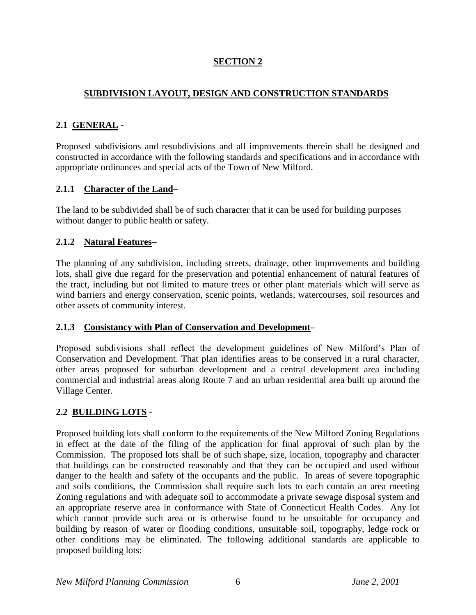# **SECTION 2**

# **SUBDIVISION LAYOUT, DESIGN AND CONSTRUCTION STANDARDS**

## **2.1 GENERAL -**

Proposed subdivisions and resubdivisions and all improvements therein shall be designed and constructed in accordance with the following standards and specifications and in accordance with appropriate ordinances and special acts of the Town of New Milford.

## **2.1.1 Character of the Land–**

The land to be subdivided shall be of such character that it can be used for building purposes without danger to public health or safety.

## **2.1.2 Natural Features–**

The planning of any subdivision, including streets, drainage, other improvements and building lots, shall give due regard for the preservation and potential enhancement of natural features of the tract, including but not limited to mature trees or other plant materials which will serve as wind barriers and energy conservation, scenic points, wetlands, watercourses, soil resources and other assets of community interest.

## **2.1.3 Consistancy with Plan of Conservation and Development–**

Proposed subdivisions shall reflect the development guidelines of New Milford's Plan of Conservation and Development. That plan identifies areas to be conserved in a rural character, other areas proposed for suburban development and a central development area including commercial and industrial areas along Route 7 and an urban residential area built up around the Village Center.

# **2.2 BUILDING LOTS** -

Proposed building lots shall conform to the requirements of the New Milford Zoning Regulations in effect at the date of the filing of the application for final approval of such plan by the Commission. The proposed lots shall be of such shape, size, location, topography and character that buildings can be constructed reasonably and that they can be occupied and used without danger to the health and safety of the occupants and the public. In areas of severe topographic and soils conditions, the Commission shall require such lots to each contain an area meeting Zoning regulations and with adequate soil to accommodate a private sewage disposal system and an appropriate reserve area in conformance with State of Connecticut Health Codes. Any lot which cannot provide such area or is otherwise found to be unsuitable for occupancy and building by reason of water or flooding conditions, unsuitable soil, topography, ledge rock or other conditions may be eliminated. The following additional standards are applicable to proposed building lots: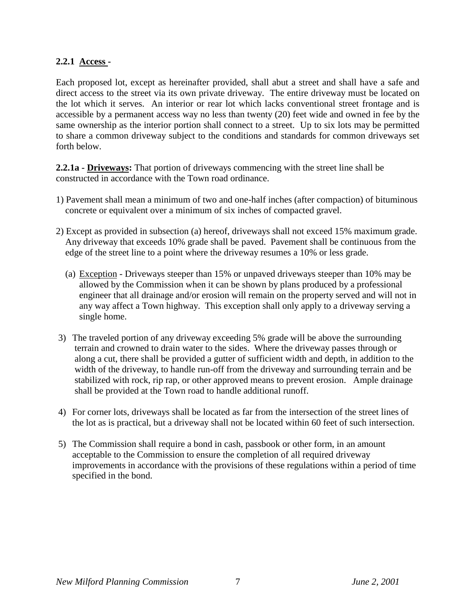#### **2.2.1 Access -**

Each proposed lot, except as hereinafter provided, shall abut a street and shall have a safe and direct access to the street via its own private driveway. The entire driveway must be located on the lot which it serves. An interior or rear lot which lacks conventional street frontage and is accessible by a permanent access way no less than twenty (20) feet wide and owned in fee by the same ownership as the interior portion shall connect to a street. Up to six lots may be permitted to share a common driveway subject to the conditions and standards for common driveways set forth below.

**2.2.1a - Driveways:** That portion of driveways commencing with the street line shall be constructed in accordance with the Town road ordinance.

- 1) Pavement shall mean a minimum of two and one-half inches (after compaction) of bituminous concrete or equivalent over a minimum of six inches of compacted gravel.
- 2) Except as provided in subsection (a) hereof, driveways shall not exceed 15% maximum grade. Any driveway that exceeds 10% grade shall be paved. Pavement shall be continuous from the edge of the street line to a point where the driveway resumes a 10% or less grade.
	- (a) Exception Driveways steeper than 15% or unpaved driveways steeper than 10% may be allowed by the Commission when it can be shown by plans produced by a professional engineer that all drainage and/or erosion will remain on the property served and will not in any way affect a Town highway. This exception shall only apply to a driveway serving a single home.
- 3) The traveled portion of any driveway exceeding 5% grade will be above the surrounding terrain and crowned to drain water to the sides. Where the driveway passes through or along a cut, there shall be provided a gutter of sufficient width and depth, in addition to the width of the driveway, to handle run-off from the driveway and surrounding terrain and be stabilized with rock, rip rap, or other approved means to prevent erosion. Ample drainage shall be provided at the Town road to handle additional runoff.
- 4) For corner lots, driveways shall be located as far from the intersection of the street lines of the lot as is practical, but a driveway shall not be located within 60 feet of such intersection.
- 5) The Commission shall require a bond in cash, passbook or other form, in an amount acceptable to the Commission to ensure the completion of all required driveway improvements in accordance with the provisions of these regulations within a period of time specified in the bond.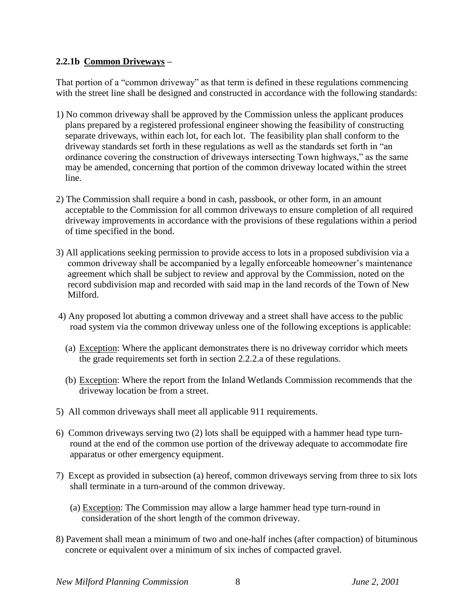## **2.2.1b Common Driveways –**

That portion of a "common driveway" as that term is defined in these regulations commencing with the street line shall be designed and constructed in accordance with the following standards:

- 1) No common driveway shall be approved by the Commission unless the applicant produces plans prepared by a registered professional engineer showing the feasibility of constructing separate driveways, within each lot, for each lot. The feasibility plan shall conform to the driveway standards set forth in these regulations as well as the standards set forth in "an ordinance covering the construction of driveways intersecting Town highways," as the same may be amended, concerning that portion of the common driveway located within the street line.
- 2) The Commission shall require a bond in cash, passbook, or other form, in an amount acceptable to the Commission for all common driveways to ensure completion of all required driveway improvements in accordance with the provisions of these regulations within a period of time specified in the bond.
- 3) All applications seeking permission to provide access to lots in a proposed subdivision via a common driveway shall be accompanied by a legally enforceable homeowner's maintenance agreement which shall be subject to review and approval by the Commission, noted on the record subdivision map and recorded with said map in the land records of the Town of New Milford.
- 4) Any proposed lot abutting a common driveway and a street shall have access to the public road system via the common driveway unless one of the following exceptions is applicable:
	- (a) Exception: Where the applicant demonstrates there is no driveway corridor which meets the grade requirements set forth in section 2.2.2.a of these regulations.
	- (b) Exception: Where the report from the Inland Wetlands Commission recommends that the driveway location be from a street.
- 5) All common driveways shall meet all applicable 911 requirements.
- 6) Common driveways serving two (2) lots shall be equipped with a hammer head type turn round at the end of the common use portion of the driveway adequate to accommodate fire apparatus or other emergency equipment.
- 7) Except as provided in subsection (a) hereof, common driveways serving from three to six lots shall terminate in a turn-around of the common driveway.
	- (a) Exception: The Commission may allow a large hammer head type turn-round in consideration of the short length of the common driveway.
- 8) Pavement shall mean a minimum of two and one-half inches (after compaction) of bituminous concrete or equivalent over a minimum of six inches of compacted gravel.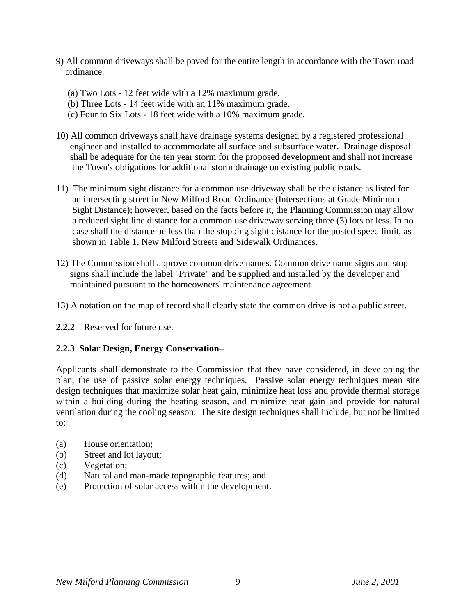- 9) All common driveways shall be paved for the entire length in accordance with the Town road ordinance.
	- (a) Two Lots 12 feet wide with a 12% maximum grade.
	- (b) Three Lots 14 feet wide with an 11% maximum grade.
	- (c) Four to Six Lots 18 feet wide with a 10% maximum grade.
- 10) All common driveways shall have drainage systems designed by a registered professional engineer and installed to accommodate all surface and subsurface water. Drainage disposal shall be adequate for the ten year storm for the proposed development and shall not increase the Town's obligations for additional storm drainage on existing public roads.
- 11) The minimum sight distance for a common use driveway shall be the distance as listed for an intersecting street in New Milford Road Ordinance (Intersections at Grade Minimum Sight Distance); however, based on the facts before it, the Planning Commission may allow a reduced sight line distance for a common use driveway serving three (3) lots or less. In no case shall the distance be less than the stopping sight distance for the posted speed limit, as shown in Table 1, New Milford Streets and Sidewalk Ordinances.
- 12) The Commission shall approve common drive names. Common drive name signs and stop signs shall include the label "Private" and be supplied and installed by the developer and maintained pursuant to the homeowners' maintenance agreement.
- 13) A notation on the map of record shall clearly state the common drive is not a public street.
- **2.2.2** Reserved for future use.

## **2.2.3 Solar Design, Energy Conservation–**

Applicants shall demonstrate to the Commission that they have considered, in developing the plan, the use of passive solar energy techniques. Passive solar energy techniques mean site design techniques that maximize solar heat gain, minimize heat loss and provide thermal storage within a building during the heating season, and minimize heat gain and provide for natural ventilation during the cooling season. The site design techniques shall include, but not be limited to:

- (a) House orientation;
- (b) Street and lot layout;
- (c) Vegetation;
- (d) Natural and man-made topographic features; and
- (e) Protection of solar access within the development.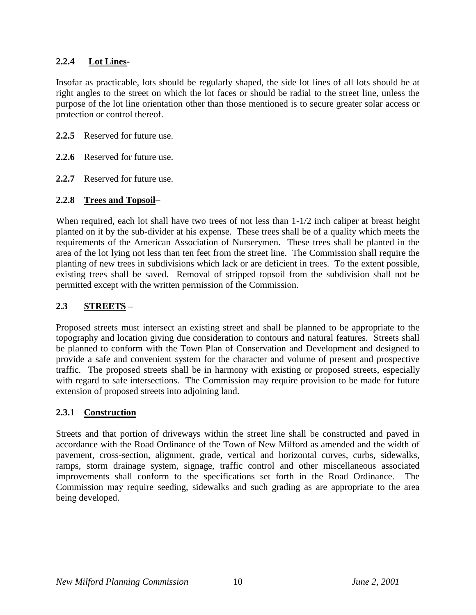## **2.2.4 Lot Lines-**

Insofar as practicable, lots should be regularly shaped, the side lot lines of all lots should be at right angles to the street on which the lot faces or should be radial to the street line, unless the purpose of the lot line orientation other than those mentioned is to secure greater solar access or protection or control thereof.

- **2.2.5** Reserved for future use.
- **2.2.6** Reserved for future use.
- **2.2.7** Reserved for future use.

## **2.2.8 Trees and Topsoil–**

When required, each lot shall have two trees of not less than  $1-1/2$  inch caliper at breast height planted on it by the sub-divider at his expense. These trees shall be of a quality which meets the requirements of the American Association of Nurserymen. These trees shall be planted in the area of the lot lying not less than ten feet from the street line. The Commission shall require the planting of new trees in subdivisions which lack or are deficient in trees. To the extent possible, existing trees shall be saved. Removal of stripped topsoil from the subdivision shall not be permitted except with the written permission of the Commission.

# **2.3 STREETS –**

Proposed streets must intersect an existing street and shall be planned to be appropriate to the topography and location giving due consideration to contours and natural features. Streets shall be planned to conform with the Town Plan of Conservation and Development and designed to provide a safe and convenient system for the character and volume of present and prospective traffic. The proposed streets shall be in harmony with existing or proposed streets, especially with regard to safe intersections. The Commission may require provision to be made for future extension of proposed streets into adjoining land.

## **2.3.1 Construction** –

Streets and that portion of driveways within the street line shall be constructed and paved in accordance with the Road Ordinance of the Town of New Milford as amended and the width of pavement, cross-section, alignment, grade, vertical and horizontal curves, curbs, sidewalks, ramps, storm drainage system, signage, traffic control and other miscellaneous associated improvements shall conform to the specifications set forth in the Road Ordinance. The Commission may require seeding, sidewalks and such grading as are appropriate to the area being developed.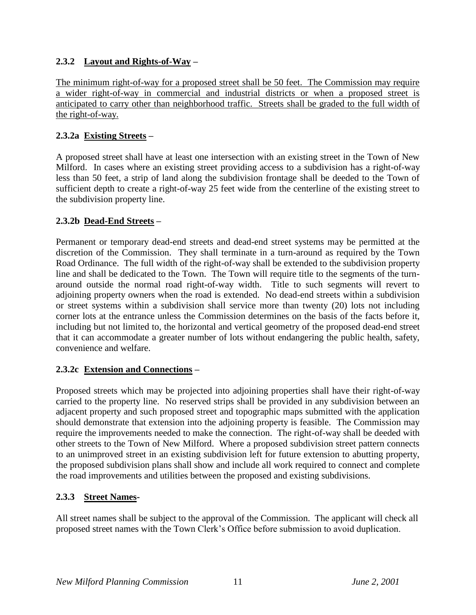# **2.3.2 Layout and Rights-of-Way –**

The minimum right-of-way for a proposed street shall be 50 feet. The Commission may require a wider right-of-way in commercial and industrial districts or when a proposed street is anticipated to carry other than neighborhood traffic. Streets shall be graded to the full width of the right-of-way.

## **2.3.2a Existing Streets –**

A proposed street shall have at least one intersection with an existing street in the Town of New Milford. In cases where an existing street providing access to a subdivision has a right-of-way less than 50 feet, a strip of land along the subdivision frontage shall be deeded to the Town of sufficient depth to create a right-of-way 25 feet wide from the centerline of the existing street to the subdivision property line.

## **2.3.2b Dead-End Streets –**

Permanent or temporary dead-end streets and dead-end street systems may be permitted at the discretion of the Commission. They shall terminate in a turn-around as required by the Town Road Ordinance. The full width of the right-of-way shall be extended to the subdivision property line and shall be dedicated to the Town. The Town will require title to the segments of the turnaround outside the normal road right-of-way width. Title to such segments will revert to adjoining property owners when the road is extended. No dead-end streets within a subdivision or street systems within a subdivision shall service more than twenty (20) lots not including corner lots at the entrance unless the Commission determines on the basis of the facts before it, including but not limited to, the horizontal and vertical geometry of the proposed dead-end street that it can accommodate a greater number of lots without endangering the public health, safety, convenience and welfare.

## **2.3.2c Extension and Connections –**

Proposed streets which may be projected into adjoining properties shall have their right-of-way carried to the property line. No reserved strips shall be provided in any subdivision between an adjacent property and such proposed street and topographic maps submitted with the application should demonstrate that extension into the adjoining property is feasible. The Commission may require the improvements needed to make the connection. The right-of-way shall be deeded with other streets to the Town of New Milford. Where a proposed subdivision street pattern connects to an unimproved street in an existing subdivision left for future extension to abutting property, the proposed subdivision plans shall show and include all work required to connect and complete the road improvements and utilities between the proposed and existing subdivisions.

# **2.3.3 Street Names-**

All street names shall be subject to the approval of the Commission. The applicant will check all proposed street names with the Town Clerk's Office before submission to avoid duplication.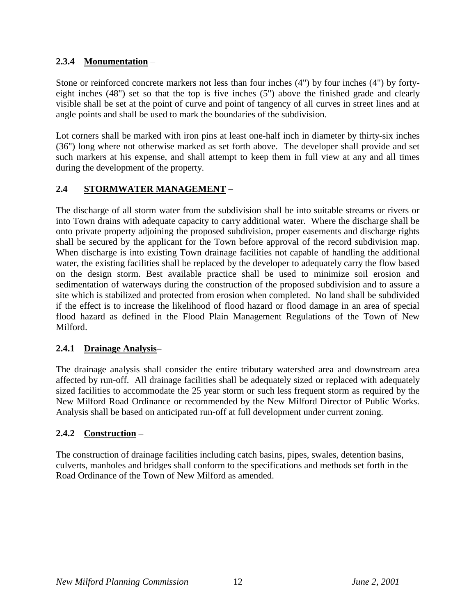# **2.3.4 Monumentation** –

Stone or reinforced concrete markers not less than four inches (4") by four inches (4") by fortyeight inches (48") set so that the top is five inches (5") above the finished grade and clearly visible shall be set at the point of curve and point of tangency of all curves in street lines and at angle points and shall be used to mark the boundaries of the subdivision.

Lot corners shall be marked with iron pins at least one-half inch in diameter by thirty-six inches (36") long where not otherwise marked as set forth above. The developer shall provide and set such markers at his expense, and shall attempt to keep them in full view at any and all times during the development of the property.

# **2.4 STORMWATER MANAGEMENT –**

The discharge of all storm water from the subdivision shall be into suitable streams or rivers or into Town drains with adequate capacity to carry additional water. Where the discharge shall be onto private property adjoining the proposed subdivision, proper easements and discharge rights shall be secured by the applicant for the Town before approval of the record subdivision map. When discharge is into existing Town drainage facilities not capable of handling the additional water, the existing facilities shall be replaced by the developer to adequately carry the flow based on the design storm. Best available practice shall be used to minimize soil erosion and sedimentation of waterways during the construction of the proposed subdivision and to assure a site which is stabilized and protected from erosion when completed. No land shall be subdivided if the effect is to increase the likelihood of flood hazard or flood damage in an area of special flood hazard as defined in the Flood Plain Management Regulations of the Town of New Milford.

## **2.4.1 Drainage Analysis–**

The drainage analysis shall consider the entire tributary watershed area and downstream area affected by run-off. All drainage facilities shall be adequately sized or replaced with adequately sized facilities to accommodate the 25 year storm or such less frequent storm as required by the New Milford Road Ordinance or recommended by the New Milford Director of Public Works. Analysis shall be based on anticipated run-off at full development under current zoning.

# **2.4.2 Construction –**

The construction of drainage facilities including catch basins, pipes, swales, detention basins, culverts, manholes and bridges shall conform to the specifications and methods set forth in the Road Ordinance of the Town of New Milford as amended.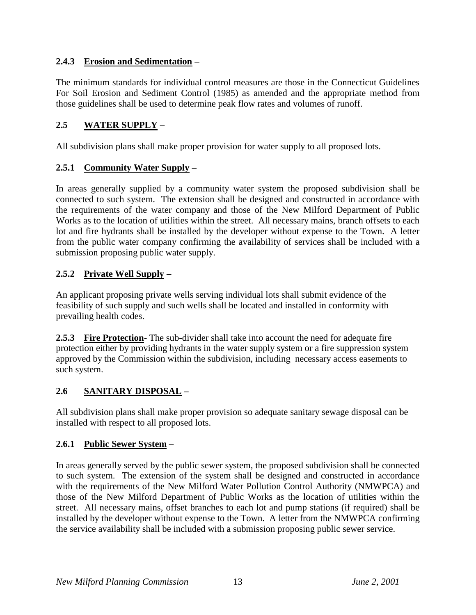# **2.4.3 Erosion and Sedimentation –**

The minimum standards for individual control measures are those in the Connecticut Guidelines For Soil Erosion and Sediment Control (1985) as amended and the appropriate method from those guidelines shall be used to determine peak flow rates and volumes of runoff.

# **2.5 WATER SUPPLY –**

All subdivision plans shall make proper provision for water supply to all proposed lots.

## **2.5.1 Community Water Supply –**

In areas generally supplied by a community water system the proposed subdivision shall be connected to such system. The extension shall be designed and constructed in accordance with the requirements of the water company and those of the New Milford Department of Public Works as to the location of utilities within the street. All necessary mains, branch offsets to each lot and fire hydrants shall be installed by the developer without expense to the Town. A letter from the public water company confirming the availability of services shall be included with a submission proposing public water supply.

## **2.5.2 Private Well Supply –**

An applicant proposing private wells serving individual lots shall submit evidence of the feasibility of such supply and such wells shall be located and installed in conformity with prevailing health codes.

**2.5.3 Fire Protection-** The sub-divider shall take into account the need for adequate fire protection either by providing hydrants in the water supply system or a fire suppression system approved by the Commission within the subdivision, including necessary access easements to such system.

# **2.6 SANITARY DISPOSAL –**

All subdivision plans shall make proper provision so adequate sanitary sewage disposal can be installed with respect to all proposed lots.

## **2.6.1 Public Sewer System –**

In areas generally served by the public sewer system, the proposed subdivision shall be connected to such system. The extension of the system shall be designed and constructed in accordance with the requirements of the New Milford Water Pollution Control Authority (NMWPCA) and those of the New Milford Department of Public Works as the location of utilities within the street. All necessary mains, offset branches to each lot and pump stations (if required) shall be installed by the developer without expense to the Town. A letter from the NMWPCA confirming the service availability shall be included with a submission proposing public sewer service.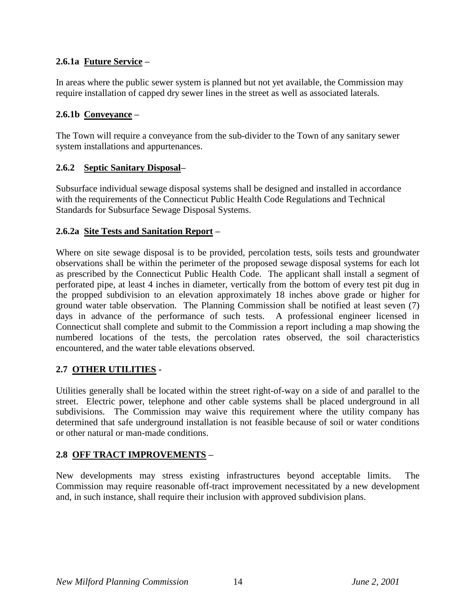# **2.6.1a Future Service –**

In areas where the public sewer system is planned but not yet available, the Commission may require installation of capped dry sewer lines in the street as well as associated laterals.

## **2.6.1b Conveyance –**

The Town will require a conveyance from the sub-divider to the Town of any sanitary sewer system installations and appurtenances.

## **2.6.2 Septic Sanitary Disposal–**

Subsurface individual sewage disposal systems shall be designed and installed in accordance with the requirements of the Connecticut Public Health Code Regulations and Technical Standards for Subsurface Sewage Disposal Systems.

## **2.6.2a Site Tests and Sanitation Report –**

Where on site sewage disposal is to be provided, percolation tests, soils tests and groundwater observations shall be within the perimeter of the proposed sewage disposal systems for each lot as prescribed by the Connecticut Public Health Code. The applicant shall install a segment of perforated pipe, at least 4 inches in diameter, vertically from the bottom of every test pit dug in the propped subdivision to an elevation approximately 18 inches above grade or higher for ground water table observation. The Planning Commission shall be notified at least seven (7) days in advance of the performance of such tests. A professional engineer licensed in Connecticut shall complete and submit to the Commission a report including a map showing the numbered locations of the tests, the percolation rates observed, the soil characteristics encountered, and the water table elevations observed.

# **2.7 OTHER UTILITIES -**

Utilities generally shall be located within the street right-of-way on a side of and parallel to the street. Electric power, telephone and other cable systems shall be placed underground in all subdivisions. The Commission may waive this requirement where the utility company has determined that safe underground installation is not feasible because of soil or water conditions or other natural or man-made conditions.

# **2.8 OFF TRACT IMPROVEMENTS –**

New developments may stress existing infrastructures beyond acceptable limits. The Commission may require reasonable off-tract improvement necessitated by a new development and, in such instance, shall require their inclusion with approved subdivision plans.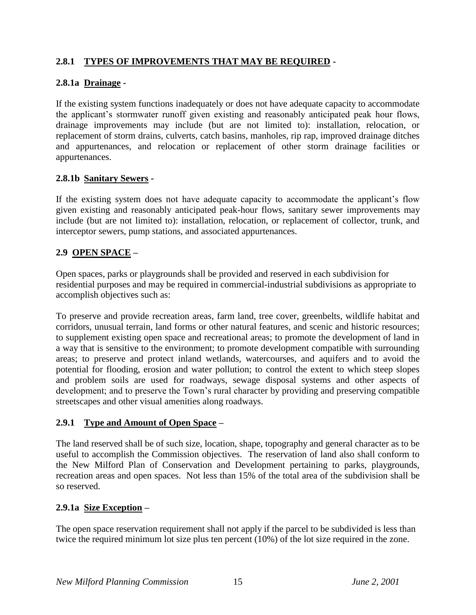# **2.8.1 TYPES OF IMPROVEMENTS THAT MAY BE REQUIRED -**

## **2.8.1a Drainage -**

If the existing system functions inadequately or does not have adequate capacity to accommodate the applicant's stormwater runoff given existing and reasonably anticipated peak hour flows, drainage improvements may include (but are not limited to): installation, relocation, or replacement of storm drains, culverts, catch basins, manholes, rip rap, improved drainage ditches and appurtenances, and relocation or replacement of other storm drainage facilities or appurtenances.

## **2.8.1b Sanitary Sewers -**

If the existing system does not have adequate capacity to accommodate the applicant's flow given existing and reasonably anticipated peak-hour flows, sanitary sewer improvements may include (but are not limited to): installation, relocation, or replacement of collector, trunk, and interceptor sewers, pump stations, and associated appurtenances.

## **2.9 OPEN SPACE –**

Open spaces, parks or playgrounds shall be provided and reserved in each subdivision for residential purposes and may be required in commercial-industrial subdivisions as appropriate to accomplish objectives such as:

To preserve and provide recreation areas, farm land, tree cover, greenbelts, wildlife habitat and corridors, unusual terrain, land forms or other natural features, and scenic and historic resources; to supplement existing open space and recreational areas; to promote the development of land in a way that is sensitive to the environment; to promote development compatible with surrounding areas; to preserve and protect inland wetlands, watercourses, and aquifers and to avoid the potential for flooding, erosion and water pollution; to control the extent to which steep slopes and problem soils are used for roadways, sewage disposal systems and other aspects of development; and to preserve the Town's rural character by providing and preserving compatible streetscapes and other visual amenities along roadways.

## **2.9.1 Type and Amount of Open Space –**

The land reserved shall be of such size, location, shape, topography and general character as to be useful to accomplish the Commission objectives. The reservation of land also shall conform to the New Milford Plan of Conservation and Development pertaining to parks, playgrounds, recreation areas and open spaces. Not less than 15% of the total area of the subdivision shall be so reserved.

## **2.9.1a Size Exception –**

The open space reservation requirement shall not apply if the parcel to be subdivided is less than twice the required minimum lot size plus ten percent (10%) of the lot size required in the zone.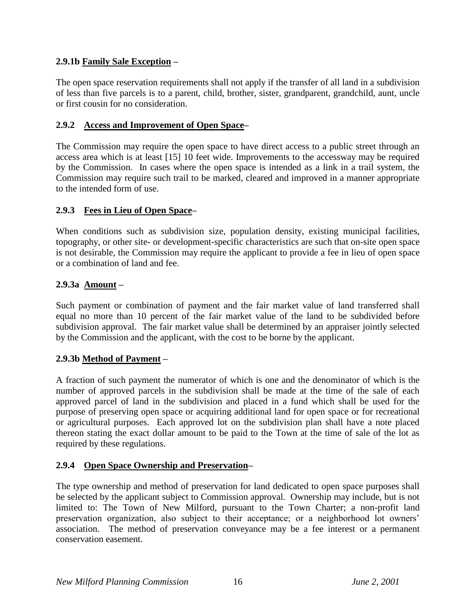## **2.9.1b Family Sale Exception –**

The open space reservation requirements shall not apply if the transfer of all land in a subdivision of less than five parcels is to a parent, child, brother, sister, grandparent, grandchild, aunt, uncle or first cousin for no consideration.

## **2.9.2 Access and Improvement of Open Space–**

The Commission may require the open space to have direct access to a public street through an access area which is at least [15] 10 feet wide. Improvements to the accessway may be required by the Commission. In cases where the open space is intended as a link in a trail system, the Commission may require such trail to be marked, cleared and improved in a manner appropriate to the intended form of use.

## **2.9.3 Fees in Lieu of Open Space–**

When conditions such as subdivision size, population density, existing municipal facilities, topography, or other site- or development-specific characteristics are such that on-site open space is not desirable, the Commission may require the applicant to provide a fee in lieu of open space or a combination of land and fee.

## **2.9.3a Amount –**

Such payment or combination of payment and the fair market value of land transferred shall equal no more than 10 percent of the fair market value of the land to be subdivided before subdivision approval. The fair market value shall be determined by an appraiser jointly selected by the Commission and the applicant, with the cost to be borne by the applicant.

## **2.9.3b Method of Payment –**

A fraction of such payment the numerator of which is one and the denominator of which is the number of approved parcels in the subdivision shall be made at the time of the sale of each approved parcel of land in the subdivision and placed in a fund which shall be used for the purpose of preserving open space or acquiring additional land for open space or for recreational or agricultural purposes. Each approved lot on the subdivision plan shall have a note placed thereon stating the exact dollar amount to be paid to the Town at the time of sale of the lot as required by these regulations.

## **2.9.4 Open Space Ownership and Preservation–**

The type ownership and method of preservation for land dedicated to open space purposes shall be selected by the applicant subject to Commission approval. Ownership may include, but is not limited to: The Town of New Milford, pursuant to the Town Charter; a non-profit land preservation organization, also subject to their acceptance; or a neighborhood lot owners' association. The method of preservation conveyance may be a fee interest or a permanent conservation easement.